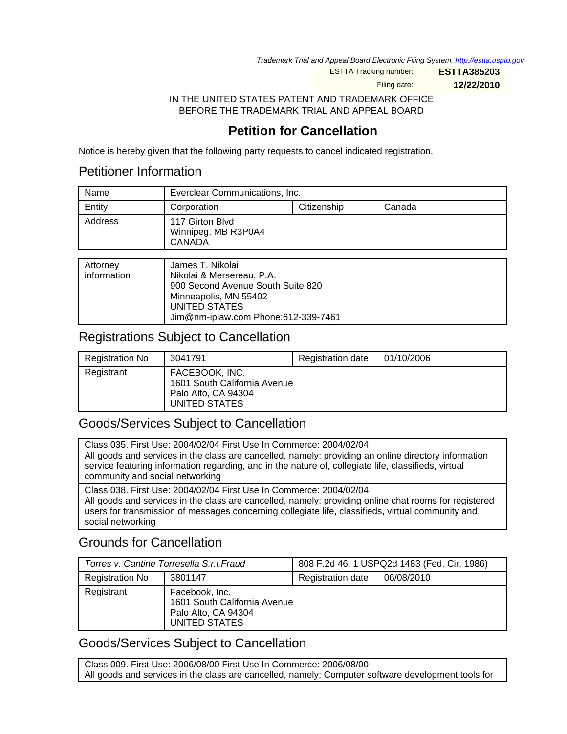Trademark Trial and Appeal Board Electronic Filing System. <http://estta.uspto.gov>

ESTTA Tracking number: **ESTTA385203**

Filing date: **12/22/2010**

IN THE UNITED STATES PATENT AND TRADEMARK OFFICE BEFORE THE TRADEMARK TRIAL AND APPEAL BOARD

# **Petition for Cancellation**

Notice is hereby given that the following party requests to cancel indicated registration.

### Petitioner Information

| Name    | Everclear Communications, Inc.                   |             |        |
|---------|--------------------------------------------------|-------------|--------|
| Entity  | Corporation                                      | Citizenship | Canada |
| Address | 117 Girton Blvd<br>Winnipeg, MB R3P0A4<br>CANADA |             |        |

| Attorney<br>information |
|-------------------------|

## Registrations Subject to Cancellation

| <b>Registration No</b> | 3041791                                                                                | <b>Registration date</b> | 01/10/2006 |
|------------------------|----------------------------------------------------------------------------------------|--------------------------|------------|
| Registrant             | FACEBOOK, INC.<br>1601 South California Avenue<br>Palo Alto, CA 94304<br>UNITED STATES |                          |            |

## Goods/Services Subject to Cancellation

Class 035. First Use: 2004/02/04 First Use In Commerce: 2004/02/04 All goods and services in the class are cancelled, namely: providing an online directory information service featuring information regarding, and in the nature of, collegiate life, classifieds, virtual community and social networking Class 038. First Use: 2004/02/04 First Use In Commerce: 2004/02/04 All goods and services in the class are cancelled, namely: providing online chat rooms for registered

users for transmission of messages concerning collegiate life, classifieds, virtual community and social networking

## Grounds for Cancellation

| Torres v. Cantine Torresella S.r.I. Fraud |                                                                                        | 808 F.2d 46, 1 USPQ2d 1483 (Fed. Cir. 1986) |            |
|-------------------------------------------|----------------------------------------------------------------------------------------|---------------------------------------------|------------|
| <b>Registration No</b>                    | 3801147                                                                                | Registration date                           | 06/08/2010 |
| Registrant                                | Facebook, Inc.<br>1601 South California Avenue<br>Palo Alto, CA 94304<br>UNITED STATES |                                             |            |

## Goods/Services Subject to Cancellation

Class 009. First Use: 2006/08/00 First Use In Commerce: 2006/08/00 All goods and services in the class are cancelled, namely: Computer software development tools for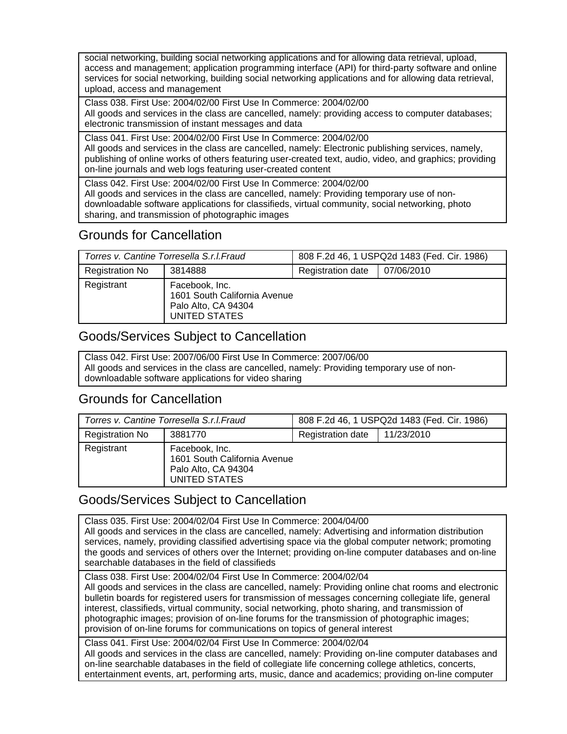social networking, building social networking applications and for allowing data retrieval, upload, access and management; application programming interface (API) for third-party software and online services for social networking, building social networking applications and for allowing data retrieval, upload, access and management

Class 038. First Use: 2004/02/00 First Use In Commerce: 2004/02/00 All goods and services in the class are cancelled, namely: providing access to computer databases; electronic transmission of instant messages and data

Class 041. First Use: 2004/02/00 First Use In Commerce: 2004/02/00 All goods and services in the class are cancelled, namely: Electronic publishing services, namely, publishing of online works of others featuring user-created text, audio, video, and graphics; providing on-line journals and web logs featuring user-created content

Class 042. First Use: 2004/02/00 First Use In Commerce: 2004/02/00 All goods and services in the class are cancelled, namely: Providing temporary use of nondownloadable software applications for classifieds, virtual community, social networking, photo sharing, and transmission of photographic images

# Grounds for Cancellation

| Torres v. Cantine Torresella S.r.I. Fraud |                                                                                        | 808 F.2d 46, 1 USPQ2d 1483 (Fed. Cir. 1986) |            |
|-------------------------------------------|----------------------------------------------------------------------------------------|---------------------------------------------|------------|
| <b>Registration No</b>                    | 3814888                                                                                | Registration date                           | 07/06/2010 |
| Registrant                                | Facebook, Inc.<br>1601 South California Avenue<br>Palo Alto, CA 94304<br>UNITED STATES |                                             |            |

# Goods/Services Subject to Cancellation

Class 042. First Use: 2007/06/00 First Use In Commerce: 2007/06/00 All goods and services in the class are cancelled, namely: Providing temporary use of nondownloadable software applications for video sharing

## Grounds for Cancellation

| Torres v. Cantine Torresella S.r.I. Fraud |                                                                                        | 808 F.2d 46, 1 USPQ2d 1483 (Fed. Cir. 1986) |            |
|-------------------------------------------|----------------------------------------------------------------------------------------|---------------------------------------------|------------|
| <b>Registration No</b>                    | 3881770                                                                                | Registration date                           | 11/23/2010 |
| Registrant                                | Facebook, Inc.<br>1601 South California Avenue<br>Palo Alto, CA 94304<br>UNITED STATES |                                             |            |

# Goods/Services Subject to Cancellation

Class 035. First Use: 2004/02/04 First Use In Commerce: 2004/04/00 All goods and services in the class are cancelled, namely: Advertising and information distribution services, namely, providing classified advertising space via the global computer network; promoting the goods and services of others over the Internet; providing on-line computer databases and on-line searchable databases in the field of classifieds Class 038. First Use: 2004/02/04 First Use In Commerce: 2004/02/04

All goods and services in the class are cancelled, namely: Providing online chat rooms and electronic bulletin boards for registered users for transmission of messages concerning collegiate life, general interest, classifieds, virtual community, social networking, photo sharing, and transmission of photographic images; provision of on-line forums for the transmission of photographic images; provision of on-line forums for communications on topics of general interest

Class 041. First Use: 2004/02/04 First Use In Commerce: 2004/02/04 All goods and services in the class are cancelled, namely: Providing on-line computer databases and on-line searchable databases in the field of collegiate life concerning college athletics, concerts, entertainment events, art, performing arts, music, dance and academics; providing on-line computer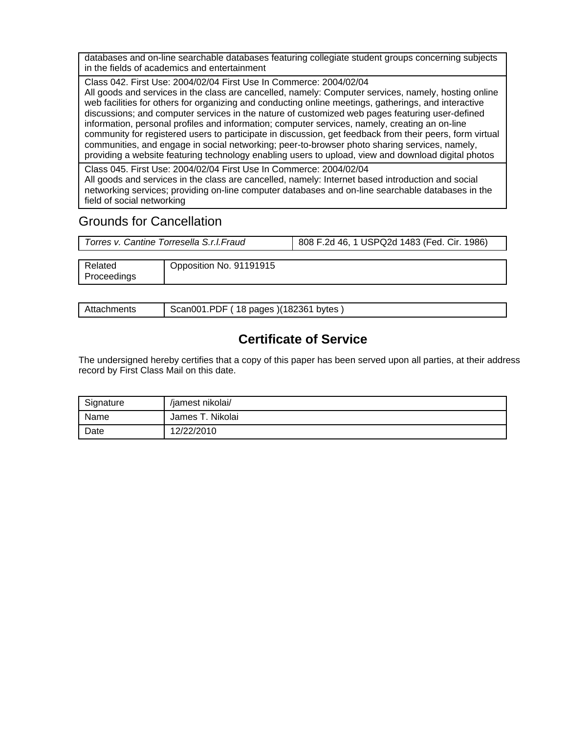databases and on-line searchable databases featuring collegiate student groups concerning subjects in the fields of academics and entertainment

Class 042. First Use: 2004/02/04 First Use In Commerce: 2004/02/04 All goods and services in the class are cancelled, namely: Computer services, namely, hosting online web facilities for others for organizing and conducting online meetings, gatherings, and interactive discussions; and computer services in the nature of customized web pages featuring user-defined information, personal profiles and information; computer services, namely, creating an on-line community for registered users to participate in discussion, get feedback from their peers, form virtual communities, and engage in social networking; peer-to-browser photo sharing services, namely, providing a website featuring technology enabling users to upload, view and download digital photos

Class 045. First Use: 2004/02/04 First Use In Commerce: 2004/02/04 All goods and services in the class are cancelled, namely: Internet based introduction and social networking services; providing on-line computer databases and on-line searchable databases in the field of social networking

## Grounds for Cancellation

| Torres v. Cantine Torresella S.r.I.Fraud | 808 F.2d 46, 1 USPQ2d 1483 (Fed. Cir. 1986) |  |  |
|------------------------------------------|---------------------------------------------|--|--|
|                                          |                                             |  |  |

| ∍<br>elated | 91191915<br>_Jpposition<br>` No. |
|-------------|----------------------------------|
| 'roceedings |                                  |
|             |                                  |

| Attachments |
|-------------|
|-------------|

Scan001.PDF ( 18 pages )(182361 bytes )

# **Certificate of Service**

The undersigned hereby certifies that a copy of this paper has been served upon all parties, at their address record by First Class Mail on this date.

| Signature | /jamest nikolai/ |
|-----------|------------------|
| Name      | James T. Nikolai |
| Date      | 12/22/2010       |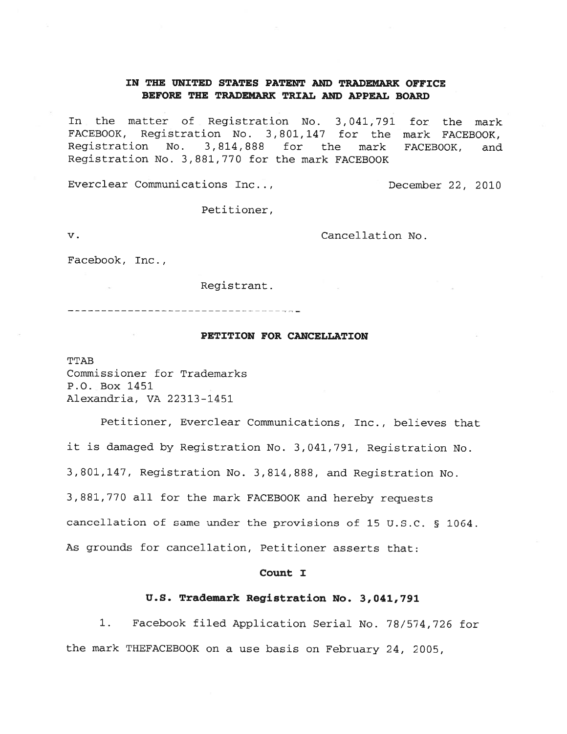### IN THE UNITED STATES PATENT AND TRADEMARK OFFICE BEFORE THE TRADEMARK TRIAL AND APPEAL BOARD

In the matter of Registration No. 3,041,791 for the mark FACEBOOK, Registration No. 3,801,147 for the mark FACEBOOK, 3,814,888 for the Registration No. mark FACEBOOK, and Registration No. 3,881,770 for the mark FACEBOOK

Everclear Communications Inc...

December 22, 2010

Petitioner,

 $\mathbf v$ .

Cancellation No.

Facebook, Inc.,

Registrant.

#### PETITION FOR CANCELLATION

**TTAB** Commissioner for Trademarks P.O. Box 1451 Alexandria, VA 22313-1451

Petitioner, Everclear Communications, Inc., believes that it is damaged by Registration No. 3,041,791, Registration No. 3,801,147, Registration No. 3,814,888, and Registration No. 3,881,770 all for the mark FACEBOOK and hereby requests cancellation of same under the provisions of 15 U.S.C. § 1064. As grounds for cancellation, Petitioner asserts that:

#### Count I

#### U.S. Trademark Registration No. 3,041,791

Facebook filed Application Serial No. 78/574,726 for  $1.$ the mark THEFACEBOOK on a use basis on February 24, 2005,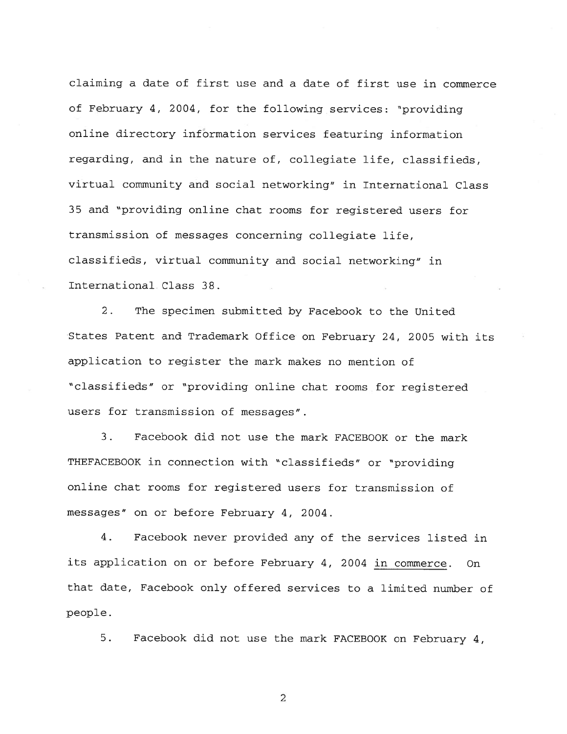claiming a date of first use and a date of first use in commerce of February 4, 2004, for the following services: "providing online directory information services featuring information regarding, and in the nature of, collegiate life, classifieds, virtual community and social networking" in International Class 35 and "providing online chat rooms for registered users for transmission of messages concerning collegiate life, classifieds, virtual community and social networking" in International Class 38.

 $2.$ The specimen submitted by Facebook to the United States Patent and Trademark Office on February 24, 2005 with its application to register the mark makes no mention of "classifieds" or "providing online chat rooms for registered users for transmission of messages".

Facebook did not use the mark FACEBOOK or the mark  $3.$ THEFACEBOOK in connection with "classifieds" or "providing online chat rooms for registered users for transmission of messages" on or before February 4, 2004.

 $4.$ Facebook never provided any of the services listed in its application on or before February 4, 2004 in commerce. On that date, Facebook only offered services to a limited number of people.

5. Facebook did not use the mark FACEBOOK on February 4,

 $\overline{c}$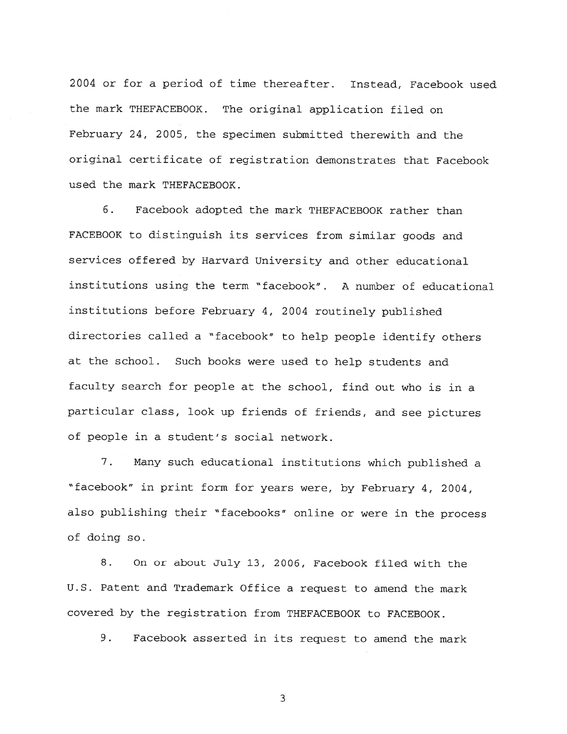2004 or for a period of time thereafter. Instead, Facebook used the mark THEFACEBOOK. The original application filed on February 24, 2005, the specimen submitted therewith and the original certificate of registration demonstrates that Facebook used the mark THEFACEBOOK.

6. Facebook adopted the mark THEFACEBOOK rather than FACEBOOK to distinguish its services from similar goods and services offered by Harvard University and other educational institutions using the term "facebook". A number of educational institutions before February 4, 2004 routinely published directories called a "facebook" to help people identify others at the school. Such books were used to help students and faculty search for people at the school, find out who is in a particular class, look up friends of friends, and see pictures of people in a student's social network.

 $7.$ Many such educational institutions which published a "facebook" in print form for years were, by February 4, 2004, also publishing their "facebooks" online or were in the process of doing so.

8. On or about July 13, 2006, Facebook filed with the U.S. Patent and Trademark Office a request to amend the mark covered by the registration from THEFACEBOOK to FACEBOOK.

9. Facebook asserted in its request to amend the mark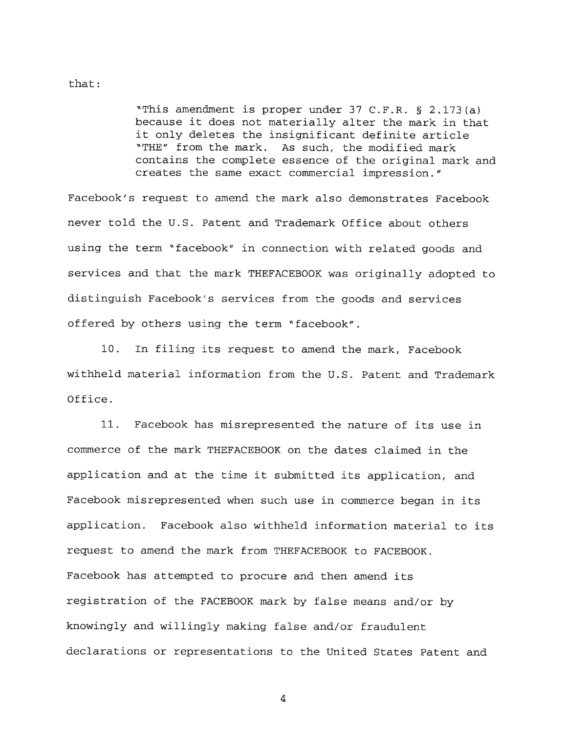#### $that:$

"This amendment is proper under  $37$  C.F.R. § 2.173(a) because it does not materially alter the mark in that it only deletes the insignificant definite article "THE" from the mark. As such, the modified mark contains the complete essence of the original mark and creates the same exact commercial impression."

Facebook's request to amend the mark also demonstrates Facebook never told the U.S. Patent and Trademark Office about others using the term "facebook" in connection with related goods and services and that the mark THEFACEBOOK was originally adopted to distinguish Facebook's services from the goods and services offered by others using the term "facebook".

10. In filing its request to amend the mark, Facebook withheld material information from the U.S. Patent and Trademark Office.

 $11.$ Facebook has misrepresented the nature of its use in commerce of the mark THEFACEBOOK on the dates claimed in the application and at the time it submitted its application, and Facebook misrepresented when such use in commerce began in its application. Facebook also withheld information material to its request to amend the mark from THEFACEBOOK to FACEBOOK. Facebook has attempted to procure and then amend its registration of the FACEBOOK mark by false means and/or by knowingly and willingly making false and/or fraudulent declarations or representations to the United States Patent and

 $\overline{4}$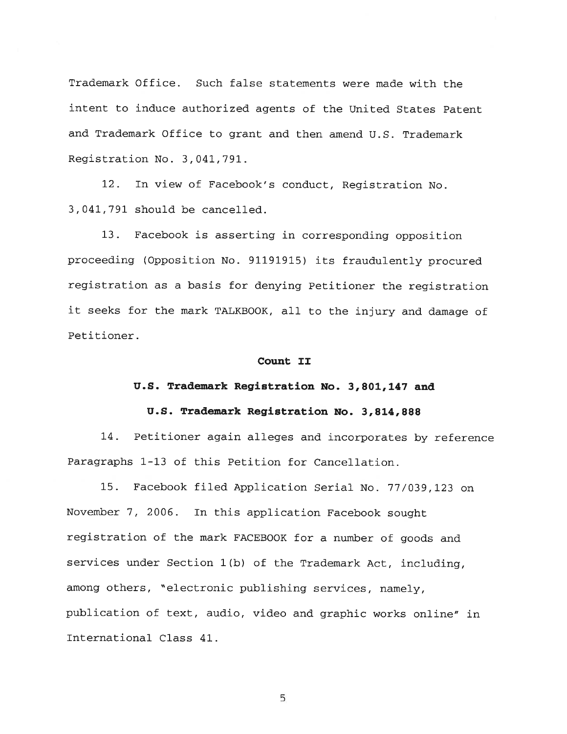Trademark Office. Such false statements were made with the intent to induce authorized agents of the United States Patent and Trademark Office to grant and then amend U.S. Trademark Registration No. 3,041,791.

In view of Facebook's conduct, Registration No.  $12.$ 3,041,791 should be cancelled.

 $13.$ Facebook is asserting in corresponding opposition proceeding (Opposition No. 91191915) its fraudulently procured registration as a basis for denying Petitioner the registration it seeks for the mark TALKBOOK, all to the injury and damage of Petitioner.

#### Count II

#### U.S. Trademark Registration No. 3,801,147 and

#### U.S. Trademark Registration No. 3,814,888

14. Petitioner again alleges and incorporates by reference Paragraphs 1-13 of this Petition for Cancellation.

15. Facebook filed Application Serial No. 77/039,123 on November 7, 2006. In this application Facebook sought registration of the mark FACEBOOK for a number of goods and services under Section 1(b) of the Trademark Act, including, among others, "electronic publishing services, namely, publication of text, audio, video and graphic works online" in International Class 41.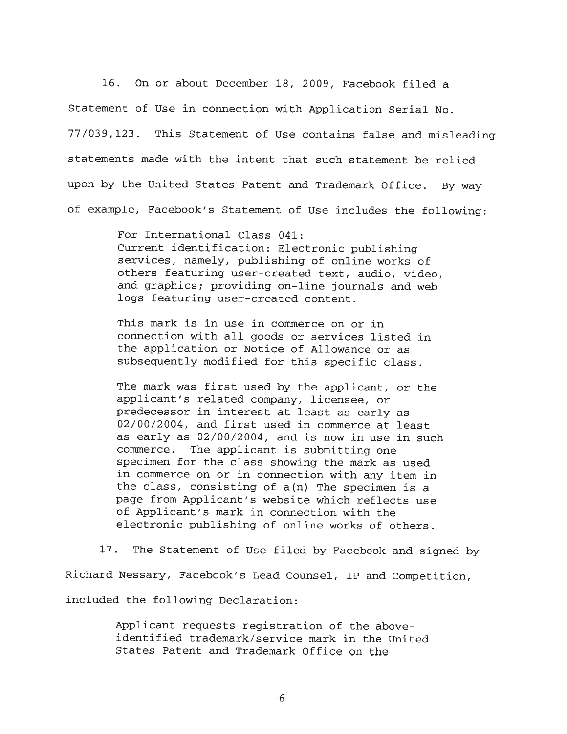16. On or about December 18, 2009, Facebook filed a Statement of Use in connection with Application Serial No. 77/039,123. This Statement of Use contains false and misleading statements made with the intent that such statement be relied upon by the United States Patent and Trademark Office. By way of example, Facebook's Statement of Use includes the following:

> For International Class 041: Current identification: Electronic publishing services, namely, publishing of online works of others featuring user-created text, audio, video, and graphics; providing on-line journals and web logs featuring user-created content.

This mark is in use in commerce on or in connection with all goods or services listed in the application or Notice of Allowance or as subsequently modified for this specific class.

The mark was first used by the applicant, or the applicant's related company, licensee, or predecessor in interest at least as early as 02/00/2004, and first used in commerce at least as early as 02/00/2004, and is now in use in such commerce. The applicant is submitting one specimen for the class showing the mark as used in commerce on or in connection with any item in the class, consisting of  $a(n)$  The specimen is a page from Applicant's website which reflects use of Applicant's mark in connection with the electronic publishing of online works of others.

17. The Statement of Use filed by Facebook and signed by Richard Nessary, Facebook's Lead Counsel, IP and Competition, included the following Declaration:

> Applicant requests registration of the aboveidentified trademark/service mark in the United States Patent and Trademark Office on the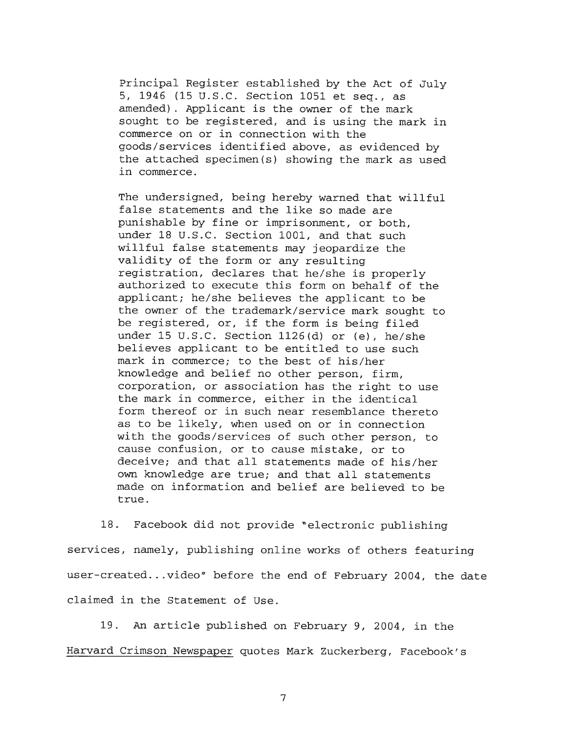Principal Register established by the Act of July 5, 1946 (15 U.S.C. Section 1051 et seq., as amended). Applicant is the owner of the mark sought to be registered, and is using the mark in commerce on or in connection with the goods/services identified above, as evidenced by the attached specimen(s) showing the mark as used in commerce.

The undersigned, being hereby warned that willful false statements and the like so made are punishable by fine or imprisonment, or both, under 18 U.S.C. Section 1001, and that such willful false statements may jeopardize the validity of the form or any resulting registration, declares that he/she is properly authorized to execute this form on behalf of the applicant; he/she believes the applicant to be the owner of the trademark/service mark sought to be registered, or, if the form is being filed under 15 U.S.C. Section  $1126(d)$  or (e), he/she believes applicant to be entitled to use such mark in commerce; to the best of his/her knowledge and belief no other person, firm, corporation, or association has the right to use the mark in commerce, either in the identical form thereof or in such near resemblance thereto as to be likely, when used on or in connection with the goods/services of such other person, to cause confusion, or to cause mistake, or to deceive; and that all statements made of his/her own knowledge are true; and that all statements made on information and belief are believed to be true.

18. Facebook did not provide "electronic publishing services, namely, publishing online works of others featuring user-created...video" before the end of February 2004, the date claimed in the Statement of Use.

19. An article published on February 9, 2004, in the Harvard Crimson Newspaper quotes Mark Zuckerberg, Facebook's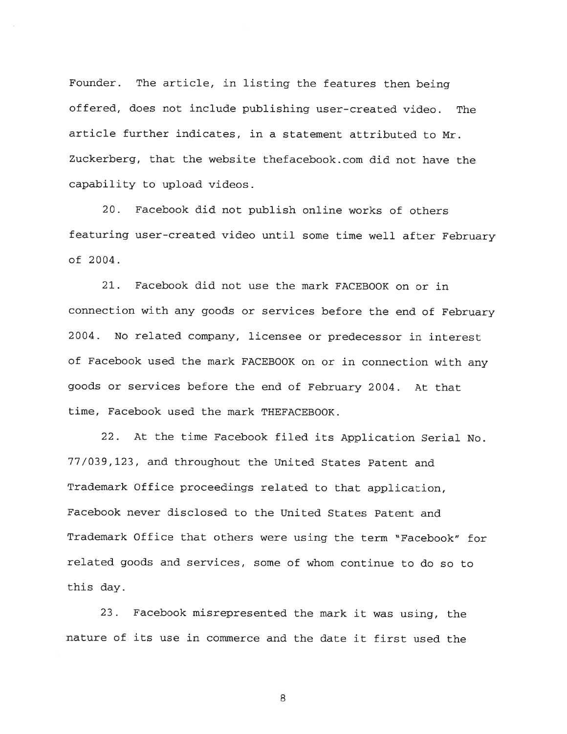The article, in listing the features then being Founder. offered, does not include publishing user-created video. The article further indicates, in a statement attributed to Mr. Zuckerberg, that the website thefacebook.com did not have the capability to upload videos.

20. Facebook did not publish online works of others featuring user-created video until some time well after February of 2004.

 $21.$ Facebook did not use the mark FACEBOOK on or in connection with any goods or services before the end of February 2004. No related company, licensee or predecessor in interest of Facebook used the mark FACEBOOK on or in connection with any goods or services before the end of February 2004. At that time, Facebook used the mark THEFACEBOOK.

22. At the time Facebook filed its Application Serial No. 77/039,123, and throughout the United States Patent and Trademark Office proceedings related to that application, Facebook never disclosed to the United States Patent and Trademark Office that others were using the term "Facebook" for related goods and services, some of whom continue to do so to this day.

Facebook misrepresented the mark it was using, the  $23.$ nature of its use in commerce and the date it first used the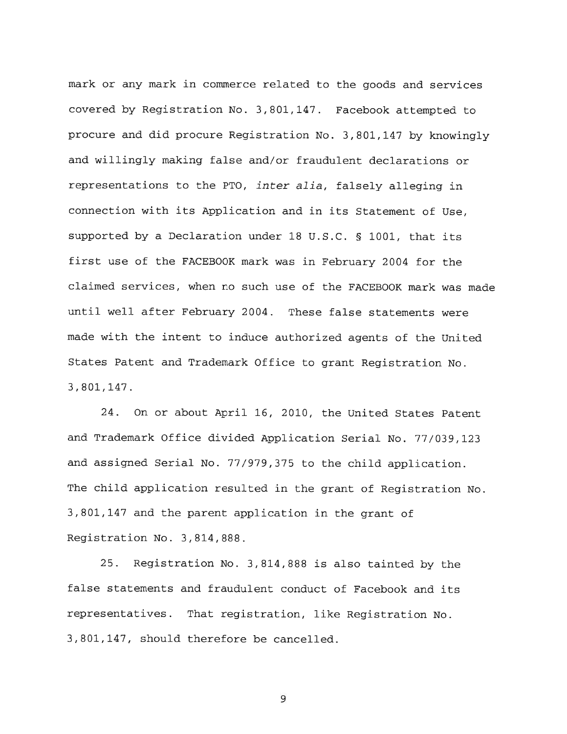mark or any mark in commerce related to the goods and services covered by Registration No. 3,801,147. Facebook attempted to procure and did procure Registration No. 3,801,147 by knowingly and willingly making false and/or fraudulent declarations or representations to the PTO, inter alia, falsely alleging in connection with its Application and in its Statement of Use. supported by a Declaration under 18 U.S.C. § 1001, that its first use of the FACEBOOK mark was in February 2004 for the claimed services, when no such use of the FACEBOOK mark was made until well after February 2004. These false statements were made with the intent to induce authorized agents of the United States Patent and Trademark Office to grant Registration No. 3,801,147.

24. On or about April 16, 2010, the United States Patent and Trademark Office divided Application Serial No. 77/039,123 and assigned Serial No. 77/979,375 to the child application. The child application resulted in the grant of Registration No. 3,801,147 and the parent application in the grant of Registration No. 3,814,888.

Registration No. 3,814,888 is also tainted by the  $25.$ false statements and fraudulent conduct of Facebook and its representatives. That registration, like Registration No. 3,801,147, should therefore be cancelled.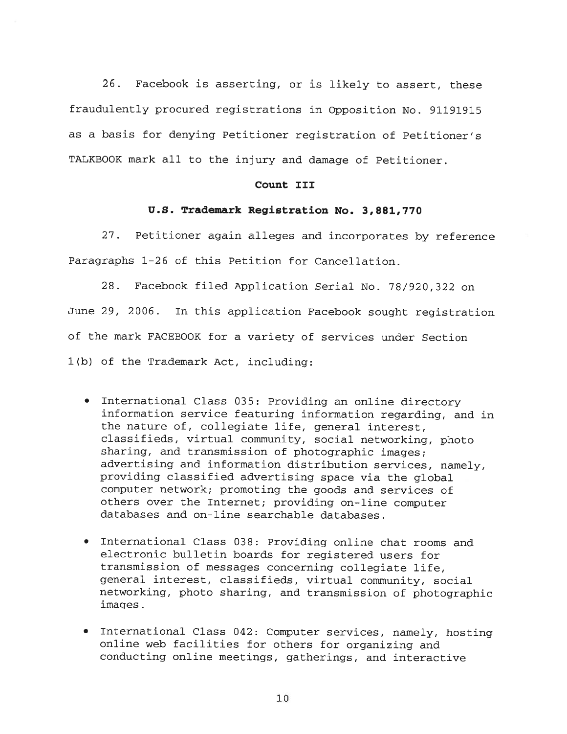$26.$ Facebook is asserting, or is likely to assert, these fraudulently procured registrations in Opposition No. 91191915 as a basis for denying Petitioner registration of Petitioner's TALKBOOK mark all to the injury and damage of Petitioner.

#### Count III

#### U.S. Trademark Registration No. 3,881,770

 $27.$ Petitioner again alleges and incorporates by reference Paragraphs 1-26 of this Petition for Cancellation.

 $28.$ Facebook filed Application Serial No. 78/920,322 on June 29, 2006. In this application Facebook sought registration of the mark FACEBOOK for a variety of services under Section 1(b) of the Trademark Act, including:

- . International Class 035: Providing an online directory information service featuring information regarding, and in the nature of, collegiate life, general interest, classifieds, virtual community, social networking, photo sharing, and transmission of photographic images; advertising and information distribution services, namely, providing classified advertising space via the global computer network; promoting the goods and services of others over the Internet; providing on-line computer databases and on-line searchable databases.
- . International Class 038: Providing online chat rooms and electronic bulletin boards for registered users for transmission of messages concerning collegiate life, general interest, classifieds, virtual community, social networking, photo sharing, and transmission of photographic images.
- . International Class 042: Computer services, namely, hosting online web facilities for others for organizing and conducting online meetings, gatherings, and interactive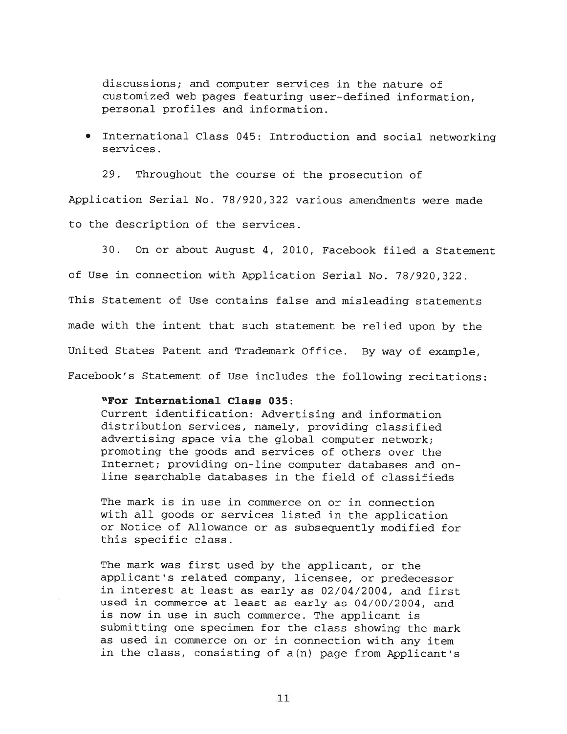discussions; and computer services in the nature of customized web pages featuring user-defined information, personal profiles and information.

. International Class 045: Introduction and social networking services.

 $29.$ Throughout the course of the prosecution of

Application Serial No. 78/920,322 various amendments were made to the description of the services.

 $30.$ On or about August 4, 2010, Facebook filed a Statement of Use in connection with Application Serial No. 78/920,322. This Statement of Use contains false and misleading statements made with the intent that such statement be relied upon by the United States Patent and Trademark Office. By way of example, Facebook's Statement of Use includes the following recitations:

### "For International Class 035:

Current identification: Advertising and information distribution services, namely, providing classified advertising space via the global computer network; promoting the goods and services of others over the Internet; providing on-line computer databases and online searchable databases in the field of classifieds

The mark is in use in commerce on or in connection with all goods or services listed in the application or Notice of Allowance or as subsequently modified for this specific class.

The mark was first used by the applicant, or the applicant's related company, licensee, or predecessor in interest at least as early as 02/04/2004, and first used in commerce at least as early as 04/00/2004, and is now in use in such commerce. The applicant is submitting one specimen for the class showing the mark as used in commerce on or in connection with any item in the class, consisting of a(n) page from Applicant's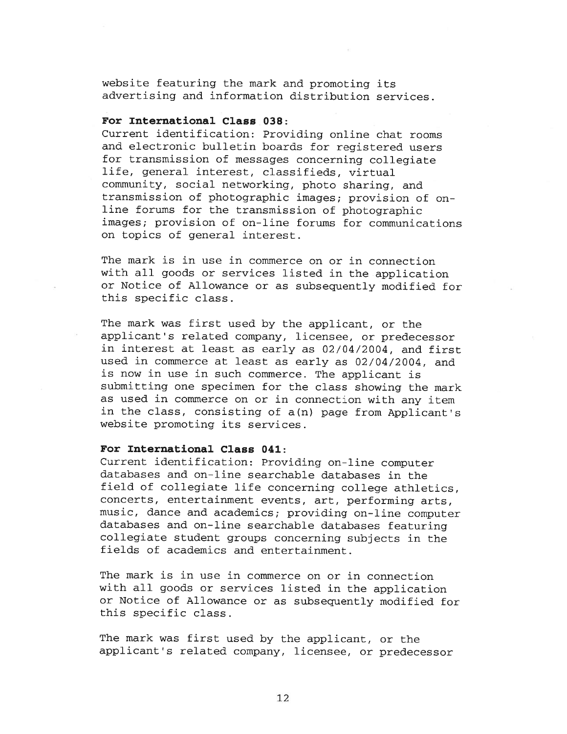website featuring the mark and promoting its advertising and information distribution services.

#### For International Class 038:

Current identification: Providing online chat rooms and electronic bulletin boards for registered users for transmission of messages concerning collegiate life, general interest, classifieds, virtual community, social networking, photo sharing, and transmission of photographic images; provision of online forums for the transmission of photographic images; provision of on-line forums for communications on topics of general interest.

The mark is in use in commerce on or in connection with all goods or services listed in the application or Notice of Allowance or as subsequently modified for this specific class.

The mark was first used by the applicant, or the applicant's related company, licensee, or predecessor in interest at least as early as 02/04/2004, and first used in commerce at least as early as 02/04/2004, and is now in use in such commerce. The applicant is submitting one specimen for the class showing the mark as used in commerce on or in connection with any item in the class, consisting of a(n) page from Applicant's website promoting its services.

### For International Class 041:

Current identification: Providing on-line computer databases and on-line searchable databases in the field of collegiate life concerning college athletics, concerts, entertainment events, art, performing arts, music, dance and academics; providing on-line computer databases and on-line searchable databases featuring collegiate student groups concerning subjects in the fields of academics and entertainment.

The mark is in use in commerce on or in connection with all goods or services listed in the application or Notice of Allowance or as subsequently modified for this specific class.

The mark was first used by the applicant, or the applicant's related company, licensee, or predecessor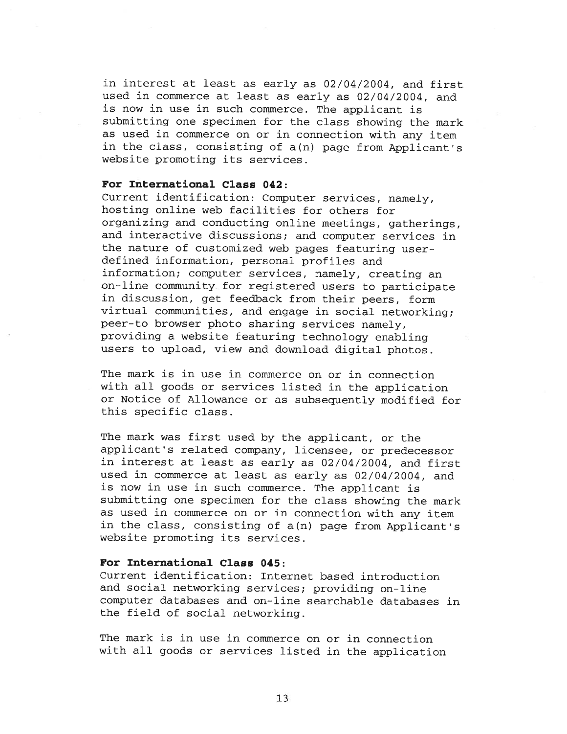in interest at least as early as 02/04/2004, and first used in commerce at least as early as 02/04/2004, and is now in use in such commerce. The applicant is submitting one specimen for the class showing the mark as used in commerce on or in connection with any item in the class, consisting of a(n) page from Applicant's website promoting its services.

### For International Class 042:

Current identification: Computer services, namely, hosting online web facilities for others for organizing and conducting online meetings, gatherings, and interactive discussions; and computer services in the nature of customized web pages featuring userdefined information, personal profiles and information; computer services, namely, creating an on-line community for registered users to participate in discussion, get feedback from their peers, form virtual communities, and engage in social networking; peer-to browser photo sharing services namely, providing a website featuring technology enabling users to upload, view and download digital photos.

The mark is in use in commerce on or in connection with all goods or services listed in the application or Notice of Allowance or as subsequently modified for this specific class.

The mark was first used by the applicant, or the applicant's related company, licensee, or predecessor in interest at least as early as 02/04/2004, and first used in commerce at least as early as 02/04/2004, and is now in use in such commerce. The applicant is submitting one specimen for the class showing the mark as used in commerce on or in connection with any item in the class, consisting of a(n) page from Applicant's website promoting its services.

#### For International Class 045:

Current identification: Internet based introduction and social networking services; providing on-line computer databases and on-line searchable databases in the field of social networking.

The mark is in use in commerce on or in connection with all goods or services listed in the application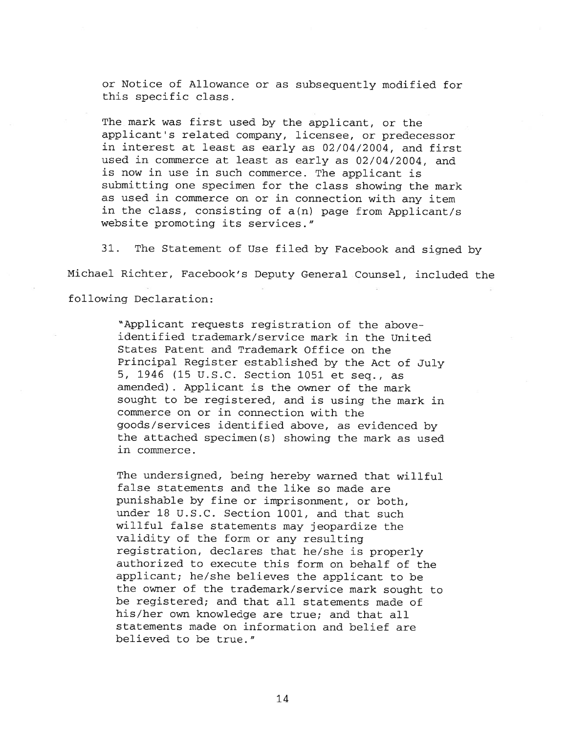or Notice of Allowance or as subsequently modified for this specific class.

The mark was first used by the applicant, or the applicant's related company, licensee, or predecessor in interest at least as early as 02/04/2004, and first used in commerce at least as early as 02/04/2004, and is now in use in such commerce. The applicant is submitting one specimen for the class showing the mark as used in commerce on or in connection with any item in the class, consisting of a(n) page from Applicant/s website promoting its services."

 $31.$ The Statement of Use filed by Facebook and signed by Michael Richter, Facebook's Deputy General Counsel, included the following Declaration:

> "Applicant requests registration of the aboveidentified trademark/service mark in the United States Patent and Trademark Office on the Principal Register established by the Act of July 5, 1946 (15 U.S.C. Section 1051 et seq., as amended). Applicant is the owner of the mark sought to be registered, and is using the mark in commerce on or in connection with the goods/services identified above, as evidenced by the attached specimen(s) showing the mark as used in commerce.

> The undersigned, being hereby warned that willful false statements and the like so made are punishable by fine or imprisonment, or both, under 18 U.S.C. Section 1001, and that such willful false statements may jeopardize the validity of the form or any resulting registration, declares that he/she is properly authorized to execute this form on behalf of the applicant; he/she believes the applicant to be the owner of the trademark/service mark sought to be registered; and that all statements made of his/her own knowledge are true; and that all statements made on information and belief are believed to be true."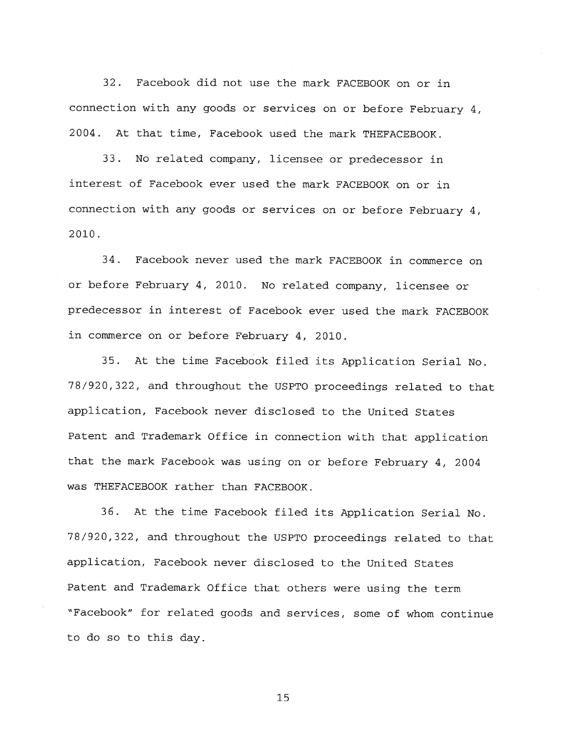Facebook did not use the mark FACEBOOK on or in  $32.$ connection with any goods or services on or before February 4, 2004. At that time, Facebook used the mark THEFACEBOOK.

33. No related company, licensee or predecessor in interest of Facebook ever used the mark FACEBOOK on or in connection with any goods or services on or before February 4,  $2010.$ 

 $34.$ Facebook never used the mark FACEBOOK in commerce on or before February 4, 2010. No related company, licensee or predecessor in interest of Facebook ever used the mark FACEBOOK in commerce on or before February 4, 2010.

35. At the time Facebook filed its Application Serial No. 78/920,322, and throughout the USPTO proceedings related to that application, Facebook never disclosed to the United States Patent and Trademark Office in connection with that application that the mark Facebook was using on or before February 4, 2004 was THEFACEBOOK rather than FACEBOOK.

36. At the time Facebook filed its Application Serial No. 78/920,322, and throughout the USPTO proceedings related to that application, Facebook never disclosed to the United States Patent and Trademark Office that others were using the term "Facebook" for related goods and services, some of whom continue to do so to this day.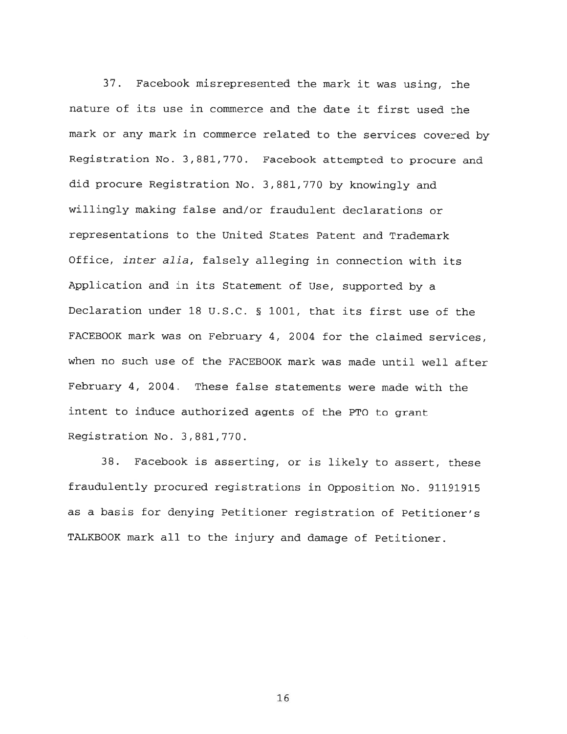$37.$ Facebook misrepresented the mark it was using, the nature of its use in commerce and the date it first used the mark or any mark in commerce related to the services covered by Registration No. 3,881,770. Facebook attempted to procure and did procure Registration No. 3,881,770 by knowingly and willingly making false and/or fraudulent declarations or representations to the United States Patent and Trademark Office, inter alia, falsely alleging in connection with its Application and in its Statement of Use, supported by a Declaration under 18 U.S.C. § 1001, that its first use of the FACEBOOK mark was on February 4, 2004 for the claimed services, when no such use of the FACEBOOK mark was made until well after February 4, 2004. These false statements were made with the intent to induce authorized agents of the PTO to grant Registration No. 3,881,770.

Facebook is asserting, or is likely to assert, these 38. fraudulently procured registrations in Opposition No. 91191915 as a basis for denying Petitioner registration of Petitioner's TALKBOOK mark all to the injury and damage of Petitioner.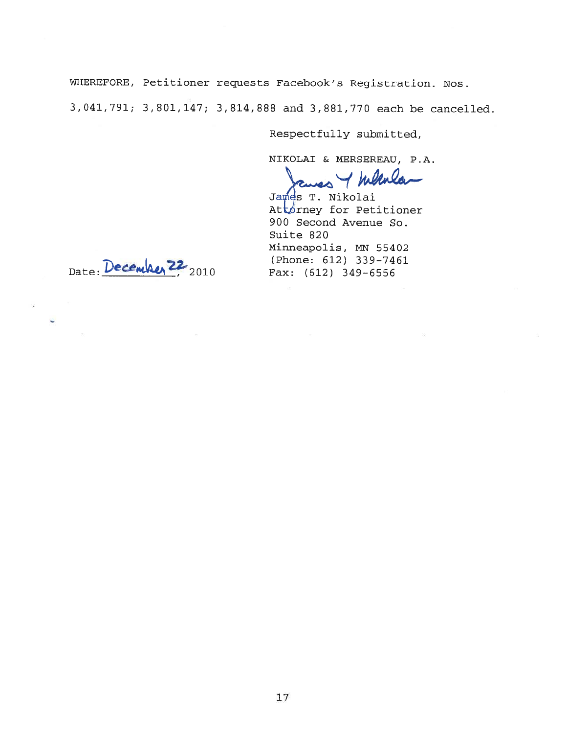WHEREFORE, Petitioner requests Facebook's Registration. Nos. 3,041,791; 3,801,147; 3,814,888 and 3,881,770 each be cancelled.

Respectfully submitted,

NIKOLAI & MERSEREAU, P.A.

 $\frac{1}{4}$ 

James T. Nikolai Attorney for Petitioner 900 Second Avenue So. Suite 820 Minneapolis, MN 55402 (Phone: 612) 339-7461 Fax: (612) 349-6556

Date: December 22 2010